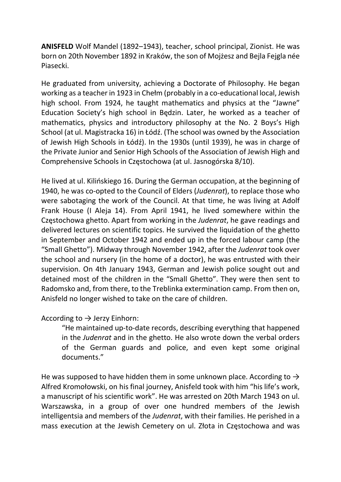ANISFELD Wolf Mandel (1892–1943), teacher, school principal, Zionist. He was born on 20th November 1892 in Kraków, the son of Mojżesz and Bejla Fejgla née Piasecki.

He graduated from university, achieving a Doctorate of Philosophy. He began working as a teacher in 1923 in Chełm (probably in a co-educational local, Jewish high school. From 1924, he taught mathematics and physics at the "Jawne" Education Society's high school in Będzin. Later, he worked as a teacher of mathematics, physics and introductory philosophy at the No. 2 Boys's High School (at ul. Magistracka 16) in Łódź. (The school was owned by the Association of Jewish High Schools in Łódź). In the 1930s (until 1939), he was in charge of the Private Junior and Senior High Schools of the Association of Jewish High and Comprehensive Schools in Częstochowa (at ul. Jasnogórska 8/10).

He lived at ul. Kilińskiego 16. During the German occupation, at the beginning of 1940, he was co-opted to the Council of Elders (Judenrat), to replace those who were sabotaging the work of the Council. At that time, he was living at Adolf Frank House (I Aleja 14). From April 1941, he lived somewhere within the Częstochowa ghetto. Apart from working in the Judenrat, he gave readings and delivered lectures on scientific topics. He survived the liquidation of the ghetto in September and October 1942 and ended up in the forced labour camp (the "Small Ghetto"). Midway through November 1942, after the Judenrat took over the school and nursery (in the home of a doctor), he was entrusted with their supervision. On 4th January 1943, German and Jewish police sought out and detained most of the children in the "Small Ghetto". They were then sent to Radomsko and, from there, to the Treblinka extermination camp. From then on, Anisfeld no longer wished to take on the care of children.

## According to  $\rightarrow$  Jerzy Einhorn:

"He maintained up-to-date records, describing everything that happened in the Judenrat and in the ghetto. He also wrote down the verbal orders of the German guards and police, and even kept some original documents."

He was supposed to have hidden them in some unknown place. According to  $\rightarrow$ Alfred Kromołowski, on his final journey, Anisfeld took with him "his life's work, a manuscript of his scientific work". He was arrested on 20th March 1943 on ul. Warszawska, in a group of over one hundred members of the Jewish intelligentsia and members of the Judenrat, with their families. He perished in a mass execution at the Jewish Cemetery on ul. Złota in Częstochowa and was